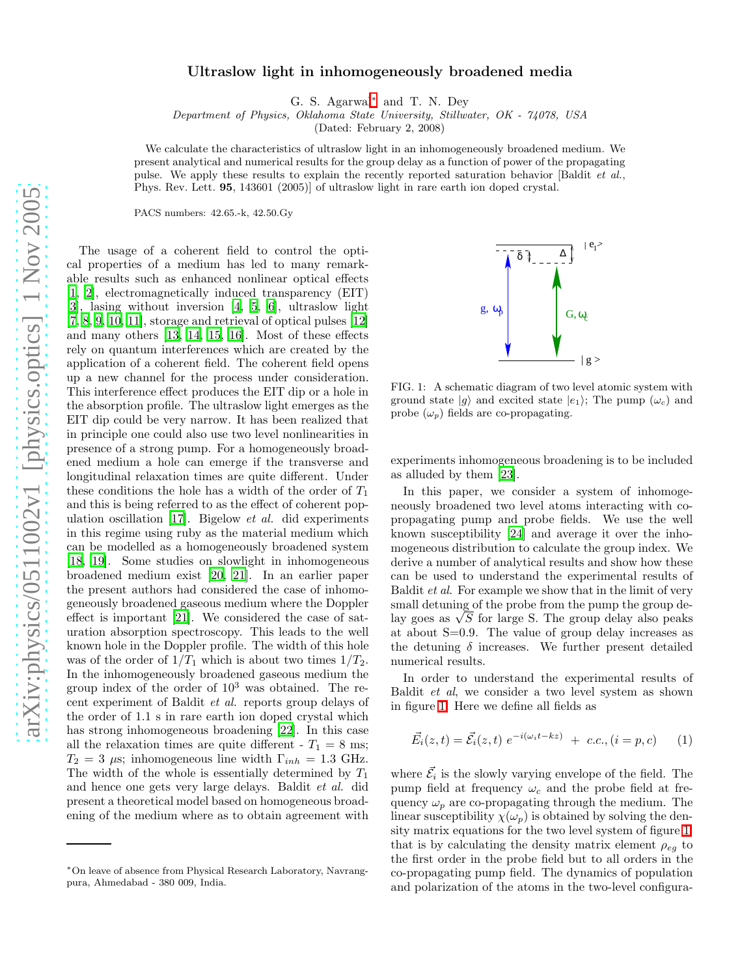## Ultraslow light in inhomogeneously broadened media

G. S. Agarwal[∗](#page-0-0) and T. N. Dey

Department of Physics, Oklahoma State University, Stillwater, OK - 74078, USA

(Dated: February 2, 2008)

We calculate the characteristics of ultraslow light in an inhomogeneously broadened medium. We present analytical and numerical results for the group delay as a function of power of the propagating pulse. We apply these results to explain the recently reported saturation behavior [Baldit *et al.*, Phys. Rev. Lett. 95, 143601 (2005)] of ultraslow light in rare earth ion doped crystal.

PACS numbers: 42.65.-k, 42.50.Gy

The usage of a coherent field to control the optical properties of a medium has led to many remarkable results such as enhanced nonlinear optical effects [\[1,](#page-2-0) [2\]](#page-2-1), electromagnetically induced transparency (EIT) [\[3\]](#page-3-0), lasing without inversion [\[4](#page-3-1), [5,](#page-3-2) [6\]](#page-3-3), ultraslow light [\[7,](#page-3-4) [8](#page-3-5), [9,](#page-3-6) [10](#page-3-7), [11\]](#page-3-8), storage and retrieval of optical pulses [\[12](#page-3-9)] and many others [\[13](#page-3-10), [14](#page-3-11), [15](#page-3-12), [16\]](#page-3-13). Most of these effects rely on quantum interferences which are created by the application of a coherent field. The coherent field opens up a new channel for the process under consideration. This interference effect produces the EIT dip or a hole in the absorption profile. The ultraslow light emerges as the EIT dip could be very narrow. It has been realized that in principle one could also use two level nonlinearities in presence of a strong pump. For a homogeneously broadened medium a hole can emerge if the transverse and longitudinal relaxation times are quite different. Under these conditions the hole has a width of the order of  $T_1$ and this is being referred to as the effect of coherent population oscillation [\[17](#page-3-14)]. Bigelow et al. did experiments in this regime using ruby as the material medium which can be modelled as a homogeneously broadened system [\[18,](#page-3-15) [19\]](#page-3-16). Some studies on slowlight in inhomogeneous broadened medium exist [\[20](#page-3-17), [21\]](#page-3-18). In an earlier paper the present authors had considered the case of inhomogeneously broadened gaseous medium where the Doppler effect is important [\[21](#page-3-18)]. We considered the case of saturation absorption spectroscopy. This leads to the well known hole in the Doppler profile. The width of this hole was of the order of  $1/T_1$  which is about two times  $1/T_2$ . In the inhomogeneously broadened gaseous medium the group index of the order of  $10^3$  was obtained. The recent experiment of Baldit et al. reports group delays of the order of 1.1 s in rare earth ion doped crystal which has strong inhomogeneous broadening [\[22](#page-3-19)]. In this case all the relaxation times are quite different -  $T_1 = 8$  ms;  $T_2 = 3 \mu s$ ; inhomogeneous line width  $\Gamma_{inh} = 1.3 \text{ GHz}.$ The width of the whole is essentially determined by  $T_1$ and hence one gets very large delays. Baldit et al. did present a theoretical model based on homogeneous broadening of the medium where as to obtain agreement with



<span id="page-0-1"></span>FIG. 1: A schematic diagram of two level atomic system with ground state  $|g\rangle$  and excited state  $|e_1\rangle$ ; The pump  $(\omega_c)$  and probe  $(\omega_p)$  fields are co-propagating.

experiments inhomogeneous broadening is to be included as alluded by them [\[23](#page-3-20)].

In this paper, we consider a system of inhomogeneously broadened two level atoms interacting with copropagating pump and probe fields. We use the well known susceptibility [\[24\]](#page-3-21) and average it over the inhomogeneous distribution to calculate the group index. We derive a number of analytical results and show how these can be used to understand the experimental results of Baldit et al. For example we show that in the limit of very small detuning of the probe from the pump the group delay goes as  $\sqrt{S}$  for large S. The group delay also peaks at about S=0.9. The value of group delay increases as the detuning  $\delta$  increases. We further present detailed numerical results.

In order to understand the experimental results of Baldit et al, we consider a two level system as shown in figure [1.](#page-0-1) Here we define all fields as

$$
\vec{E_i}(z,t) = \vec{\mathcal{E}_i}(z,t) e^{-i(\omega_i t - kz)} + c.c., (i = p, c)
$$
 (1)

where  $\vec{\mathcal{E}}_i$  is the slowly varying envelope of the field. The pump field at frequency  $\omega_c$  and the probe field at frequency  $\omega_p$  are co-propagating through the medium. The linear susceptibility  $\chi(\omega_p)$  is obtained by solving the density matrix equations for the two level system of figure [1,](#page-0-1) that is by calculating the density matrix element  $\rho_{eq}$  to the first order in the probe field but to all orders in the co-propagating pump field. The dynamics of population and polarization of the atoms in the two-level configura-

<span id="page-0-0"></span><sup>∗</sup>On leave of absence from Physical Research Laboratory, Navrangpura, Ahmedabad - 380 009, India.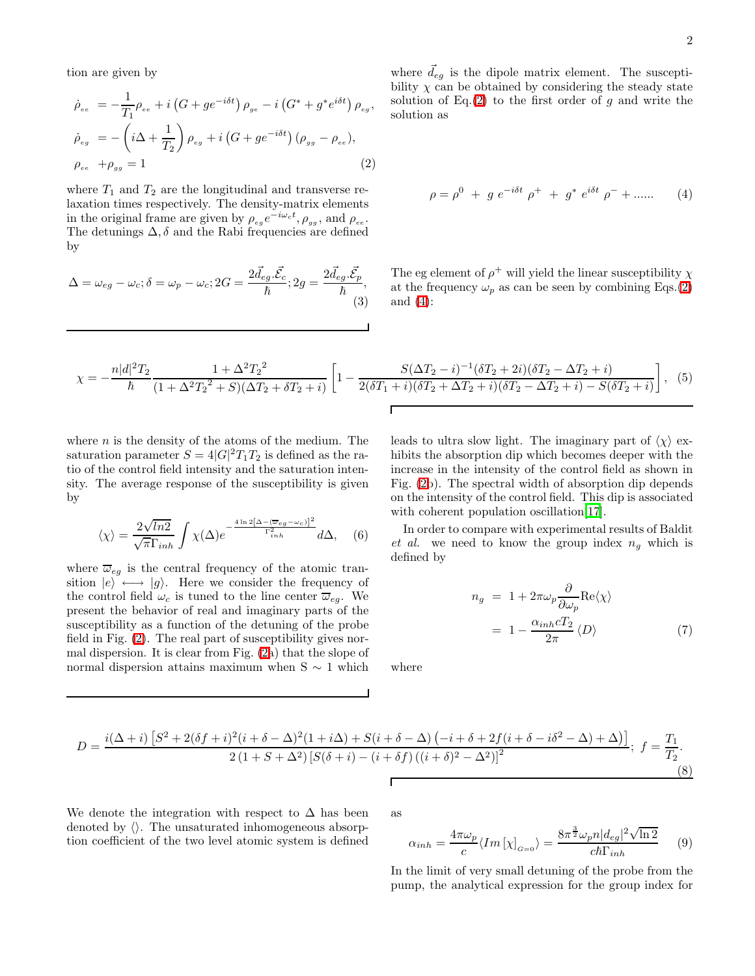<span id="page-1-0"></span>tion are given by

$$
\dot{\rho}_{ee} = -\frac{1}{T_1} \rho_{ee} + i \left( G + g e^{-i\delta t} \right) \rho_{ge} - i \left( G^* + g^* e^{i\delta t} \right) \rho_{eg},
$$
\n
$$
\dot{\rho}_{eg} = -\left( i\Delta + \frac{1}{T_2} \right) \rho_{eg} + i \left( G + g e^{-i\delta t} \right) \left( \rho_{gg} - \rho_{ee} \right),
$$
\n
$$
\rho_{ee} + \rho_{gg} = 1
$$
\n(2)

where  $T_1$  and  $T_2$  are the longitudinal and transverse relaxation times respectively. The density-matrix elements in the original frame are given by  $\rho_{eg}e^{-i\omega_c t}$ ,  $\rho_{gg}$ , and  $\rho_{ee}$ . The detunings  $\Delta$ ,  $\delta$  and the Rabi frequencies are defined by

$$
\Delta = \omega_{eg} - \omega_c; \delta = \omega_p - \omega_c; 2G = \frac{2\vec{d}_{eg}.\vec{\mathcal{E}}_c}{\hbar}; 2g = \frac{2\vec{d}_{eg}.\vec{\mathcal{E}}_p}{\hbar},
$$
\n(3)

<span id="page-1-1"></span>where 
$$
\vec{d}_{eg}
$$
 is the dipole matrix element. The susceptibility  $\chi$  can be obtained by considering the steady state solution of Eq.(2) to the first order of g and write the solution as

$$
\rho = \rho^0 + g e^{-i\delta t} \rho^+ + g^* e^{i\delta t} \rho^- + \dots \qquad (4)
$$

The eg element of  $\rho^+$  will yield the linear susceptibility  $\chi$ at the frequency  $\omega_p$  as can be seen by combining Eqs.[\(2\)](#page-1-0) and [\(4\)](#page-1-1):

$$
\chi = -\frac{n|d|^2T_2}{\hbar} \frac{1 + \Delta^2 T_2^2}{(1 + \Delta^2 T_2^2 + S)(\Delta T_2 + \delta T_2 + i)} \left[ 1 - \frac{S(\Delta T_2 - i)^{-1}(\delta T_2 + 2i)(\delta T_2 - \Delta T_2 + i)}{2(\delta T_1 + i)(\delta T_2 + \Delta T_2 + i)(\delta T_2 - \Delta T_2 + i) - S(\delta T_2 + i)} \right], \quad (5)
$$

where  $n$  is the density of the atoms of the medium. The saturation parameter  $S = 4|G|^2T_1T_2$  is defined as the ratio of the control field intensity and the saturation intensity. The average response of the susceptibility is given by

$$
\langle \chi \rangle = \frac{2\sqrt{\ln 2}}{\sqrt{\pi} \Gamma_{inh}} \int \chi(\Delta) e^{-\frac{4\ln 2\left[\Delta - (\overline{\omega}_{eg} - \omega_c)\right]^2}{\Gamma_{inh}^2}} d\Delta, \quad (6)
$$

where  $\overline{\omega}_{eg}$  is the central frequency of the atomic transition  $|e\rangle \leftrightarrow |g\rangle$ . Here we consider the frequency of the control field  $\omega_c$  is tuned to the line center  $\overline{\omega}_{eq}$ . We present the behavior of real and imaginary parts of the susceptibility as a function of the detuning of the probe field in Fig. [\(2\)](#page-2-2). The real part of susceptibility gives normal dispersion. It is clear from Fig. [\(2a](#page-2-2)) that the slope of normal dispersion attains maximum when S ∼ 1 which leads to ultra slow light. The imaginary part of  $\langle \chi \rangle$  exhibits the absorption dip which becomes deeper with the increase in the intensity of the control field as shown in Fig. [\(2b](#page-2-2)). The spectral width of absorption dip depends on the intensity of the control field. This dip is associated with coherent population oscillation[\[17\]](#page-3-14).

<span id="page-1-2"></span>In order to compare with experimental results of Baldit et al. we need to know the group index  $n<sub>g</sub>$  which is defined by

$$
n_g = 1 + 2\pi\omega_p \frac{\partial}{\partial \omega_p} \text{Re}\langle \chi \rangle
$$
  
= 
$$
1 - \frac{\alpha_{inh} cT_2}{2\pi} \langle D \rangle
$$
 (7)

where

$$
D = \frac{i(\Delta+i)\left[S^2 + 2(\delta f + i)^2(i+\delta-\Delta)^2(1+i\Delta) + S(i+\delta-\Delta)\left(-i+\delta+2f(i+\delta-i\delta^2-\Delta)+\Delta\right)\right]}{2\left(1+S+\Delta^2\right)\left[S(\delta+i)-(i+\delta f)\left((i+\delta)^2-\Delta^2\right)\right]^2};\ f = \frac{T_1}{T_2}.
$$
\n(8)

We denote the integration with respect to  $\Delta$  has been denoted by  $\langle \rangle$ . The unsaturated inhomogeneous absorption coefficient of the two level atomic system is defined

as

$$
\alpha_{inh} = \frac{4\pi\omega_p}{c} \langle Im\left[\chi\right]_{G=0} \rangle = \frac{8\pi^{\frac{3}{2}}\omega_p n |d_{eg}|^2 \sqrt{\ln 2}}{c\hbar\Gamma_{inh}} \qquad (9)
$$

In the limit of very small detuning of the probe from the pump, the analytical expression for the group index for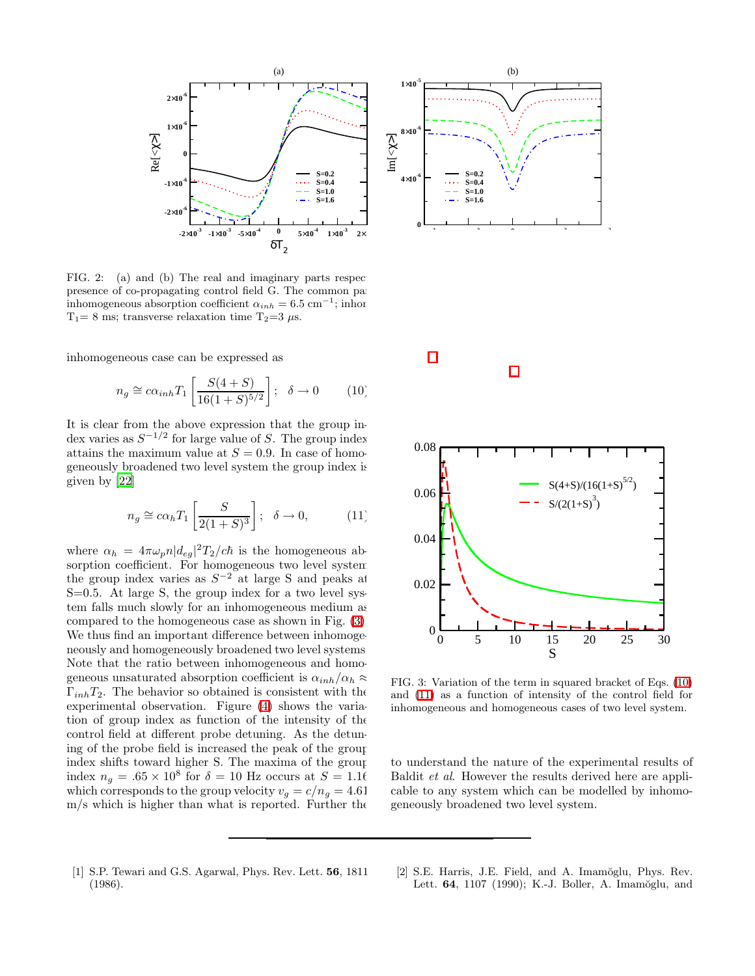

<span id="page-2-2"></span>FIG. 2: (a) and (b) The real and imaginary parts respectively hand subsetimate frequency parts respectively. presence of co-propagating control field G. The common parameters of the five plots for the chosen are chosen as: inhomogeneous absorption coefficient  $\alpha_{inh} = 6.5 \text{ cm}^{-1}$ ; inhor  $\mathbf{F}$ ; inhomogeneous line width  $\mathbf{F}$  $T_1= 8$  ms; transverse relaxation time  $T_2=3 \mu s$ .

inhomogeneous case can be expressed as

<span id="page-2-4"></span>
$$
n_g \cong c\alpha_{inh} T_1 \left[ \frac{S(4+S)}{16(1+S)^{5/2}} \right]; \quad \delta \to 0 \tag{10}
$$

<span id="page-2-5"></span>It is clear from the above expression that the group index varies as  $S^{-1/2}$  for large value of S. The group index attains the maximum value at  $S = 0.9$ . In case of homogeneously broadened two level system the group index is given by [\[22\]](#page-3-19)

$$
n_g \cong c\alpha_h T_1\left[\frac{S}{2(1+S)^3}\right]; \ \ \delta \to 0, \eqno(11)
$$

where  $\alpha_h = 4\pi\omega_p n |d_{eg}|^2 T_2/c\hbar$  is the homogeneous absorption coefficient. For homogeneous two level system the group index varies as  $S^{-2}$  at large S and peaks at S=0.5. At large S, the group index for a two level system falls much slowly for an inhomogeneous medium as compared to the homogeneous case as shown in Fig. [\(3\)](#page-2-3). We thus find an important difference between inhomogeneously and homogeneously broadened two level systems. Note that the ratio between inhomogeneous and homogeneous unsaturated absorption coefficient is  $\alpha_{inh}/\alpha_h \approx$  $\Gamma_{inh}T_2$ . The behavior so obtained is consistent with the experimental observation. Figure [\(4\)](#page-3-22) shows the variation of group index as function of the intensity of the control field at different probe detuning. As the detuning of the probe field is increased the peak of the group index shifts toward higher S. The maxima of the group index  $n_g = .65 \times 10^8$  for  $\delta = 10$  Hz occurs at  $S = 1.16$ which corresponds to the group velocity  $v_g = c/n_g = 4.61$  $m/s$  which is higher than what is reported. Further the





<span id="page-2-3"></span>FIG. 3: Variation of the term in squared bracket of Eqs. [\(10\)](#page-2-4) and [\(11\)](#page-2-5) as a function of intensity of the control field for inhomogeneous and homogeneous cases of two level system.

to understand the nature of the experimental results of Baldit et al. However the results derived here are applicable to any system which can be modelled by inhomogeneously broadened two level system.

- <span id="page-2-0"></span>[1] S.P. Tewari and G.S. Agarwal, Phys. Rev. Lett. 56, 1811 (1986).
- <span id="page-2-1"></span>[2] S.E. Harris, J.E. Field, and A. Imamŏglu, Phys. Rev. Lett. **64**, 1107 (1990); K.-J. Boller, A. Imamöglu, and